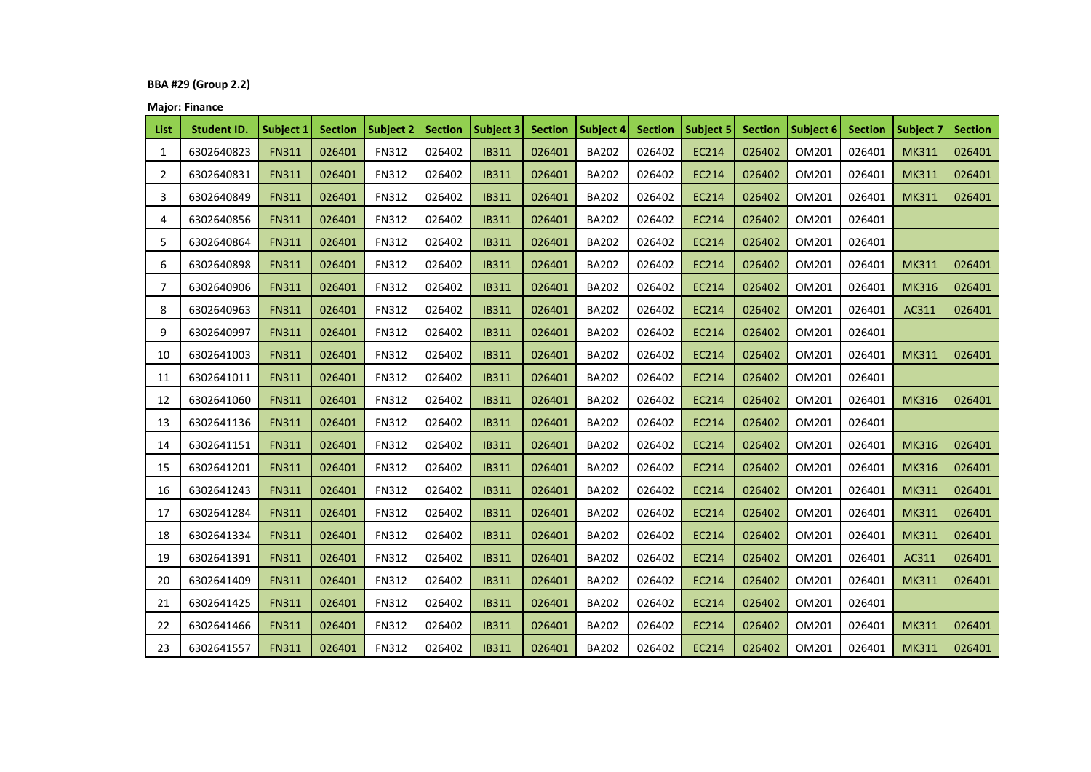# **BBA #29 (Group 2.2)**

**Major: Finance**

| List | <b>Student ID.</b> | Subject 1    | <b>Section</b> | Subject 2    | <b>Section</b> | Subject 3    | <b>Section</b> | Subject 4    | <b>Section</b> | Subject 5    | <b>Section</b> | Subject 6 | <b>Section</b> | <b>Subject 7</b> | <b>Section</b> |
|------|--------------------|--------------|----------------|--------------|----------------|--------------|----------------|--------------|----------------|--------------|----------------|-----------|----------------|------------------|----------------|
| 1    | 6302640823         | <b>FN311</b> | 026401         | <b>FN312</b> | 026402         | <b>IB311</b> | 026401         | <b>BA202</b> | 026402         | <b>EC214</b> | 026402         | OM201     | 026401         | <b>MK311</b>     | 026401         |
| 2    | 6302640831         | <b>FN311</b> | 026401         | <b>FN312</b> | 026402         | <b>IB311</b> | 026401         | <b>BA202</b> | 026402         | <b>EC214</b> | 026402         | OM201     | 026401         | <b>MK311</b>     | 026401         |
| 3    | 6302640849         | <b>FN311</b> | 026401         | <b>FN312</b> | 026402         | <b>IB311</b> | 026401         | <b>BA202</b> | 026402         | <b>EC214</b> | 026402         | OM201     | 026401         | <b>MK311</b>     | 026401         |
| 4    | 6302640856         | <b>FN311</b> | 026401         | <b>FN312</b> | 026402         | <b>IB311</b> | 026401         | <b>BA202</b> | 026402         | <b>EC214</b> | 026402         | OM201     | 026401         |                  |                |
| 5    | 6302640864         | <b>FN311</b> | 026401         | <b>FN312</b> | 026402         | <b>IB311</b> | 026401         | <b>BA202</b> | 026402         | <b>EC214</b> | 026402         | OM201     | 026401         |                  |                |
| 6    | 6302640898         | <b>FN311</b> | 026401         | <b>FN312</b> | 026402         | <b>IB311</b> | 026401         | <b>BA202</b> | 026402         | <b>EC214</b> | 026402         | OM201     | 026401         | <b>MK311</b>     | 026401         |
| 7    | 6302640906         | <b>FN311</b> | 026401         | <b>FN312</b> | 026402         | <b>IB311</b> | 026401         | <b>BA202</b> | 026402         | <b>EC214</b> | 026402         | OM201     | 026401         | <b>MK316</b>     | 026401         |
| 8    | 6302640963         | <b>FN311</b> | 026401         | <b>FN312</b> | 026402         | <b>IB311</b> | 026401         | <b>BA202</b> | 026402         | <b>EC214</b> | 026402         | OM201     | 026401         | AC311            | 026401         |
| 9    | 6302640997         | <b>FN311</b> | 026401         | <b>FN312</b> | 026402         | <b>IB311</b> | 026401         | <b>BA202</b> | 026402         | EC214        | 026402         | OM201     | 026401         |                  |                |
| 10   | 6302641003         | <b>FN311</b> | 026401         | <b>FN312</b> | 026402         | <b>IB311</b> | 026401         | <b>BA202</b> | 026402         | <b>EC214</b> | 026402         | OM201     | 026401         | <b>MK311</b>     | 026401         |
| 11   | 6302641011         | <b>FN311</b> | 026401         | <b>FN312</b> | 026402         | <b>IB311</b> | 026401         | <b>BA202</b> | 026402         | <b>EC214</b> | 026402         | OM201     | 026401         |                  |                |
| 12   | 6302641060         | <b>FN311</b> | 026401         | <b>FN312</b> | 026402         | <b>IB311</b> | 026401         | <b>BA202</b> | 026402         | <b>EC214</b> | 026402         | OM201     | 026401         | <b>MK316</b>     | 026401         |
| 13   | 6302641136         | <b>FN311</b> | 026401         | <b>FN312</b> | 026402         | <b>IB311</b> | 026401         | <b>BA202</b> | 026402         | <b>EC214</b> | 026402         | OM201     | 026401         |                  |                |
| 14   | 6302641151         | <b>FN311</b> | 026401         | <b>FN312</b> | 026402         | <b>IB311</b> | 026401         | <b>BA202</b> | 026402         | EC214        | 026402         | OM201     | 026401         | <b>MK316</b>     | 026401         |
| 15   | 6302641201         | <b>FN311</b> | 026401         | <b>FN312</b> | 026402         | <b>IB311</b> | 026401         | <b>BA202</b> | 026402         | <b>EC214</b> | 026402         | OM201     | 026401         | <b>MK316</b>     | 026401         |
| 16   | 6302641243         | <b>FN311</b> | 026401         | <b>FN312</b> | 026402         | <b>IB311</b> | 026401         | <b>BA202</b> | 026402         | <b>EC214</b> | 026402         | OM201     | 026401         | <b>MK311</b>     | 026401         |
| 17   | 6302641284         | <b>FN311</b> | 026401         | <b>FN312</b> | 026402         | <b>IB311</b> | 026401         | <b>BA202</b> | 026402         | EC214        | 026402         | OM201     | 026401         | <b>MK311</b>     | 026401         |
| 18   | 6302641334         | <b>FN311</b> | 026401         | <b>FN312</b> | 026402         | <b>IB311</b> | 026401         | <b>BA202</b> | 026402         | <b>EC214</b> | 026402         | OM201     | 026401         | <b>MK311</b>     | 026401         |
| 19   | 6302641391         | <b>FN311</b> | 026401         | <b>FN312</b> | 026402         | <b>IB311</b> | 026401         | <b>BA202</b> | 026402         | EC214        | 026402         | OM201     | 026401         | AC311            | 026401         |
| 20   | 6302641409         | <b>FN311</b> | 026401         | <b>FN312</b> | 026402         | <b>IB311</b> | 026401         | <b>BA202</b> | 026402         | <b>EC214</b> | 026402         | OM201     | 026401         | <b>MK311</b>     | 026401         |
| 21   | 6302641425         | <b>FN311</b> | 026401         | <b>FN312</b> | 026402         | <b>IB311</b> | 026401         | <b>BA202</b> | 026402         | EC214        | 026402         | OM201     | 026401         |                  |                |
| 22   | 6302641466         | <b>FN311</b> | 026401         | <b>FN312</b> | 026402         | <b>IB311</b> | 026401         | <b>BA202</b> | 026402         | EC214        | 026402         | OM201     | 026401         | <b>MK311</b>     | 026401         |
| 23   | 6302641557         | <b>FN311</b> | 026401         | <b>FN312</b> | 026402         | <b>IB311</b> | 026401         | <b>BA202</b> | 026402         | EC214        | 026402         | OM201     | 026401         | <b>MK311</b>     | 026401         |